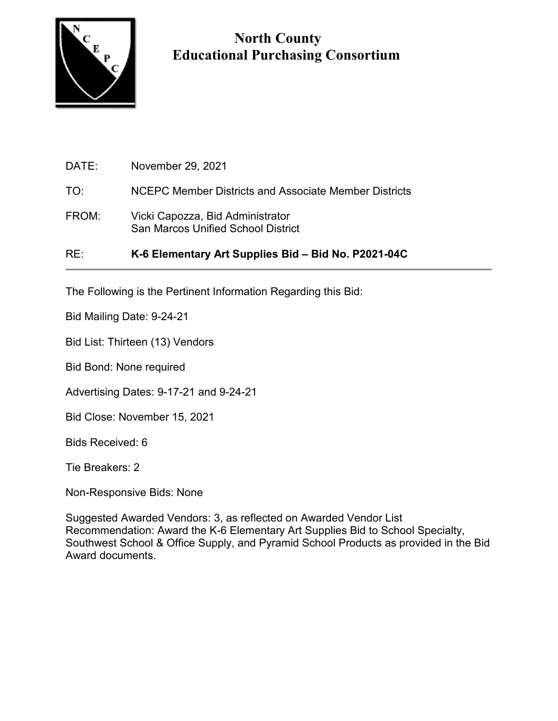

## **North County Educational Purchasing Consortium**

| RE:   | K-6 Elementary Art Supplies Bid - Bid No. P2021-04C                           |
|-------|-------------------------------------------------------------------------------|
| FROM: | Vicki Capozza, Bid Administrator<br><b>San Marcos Unified School District</b> |
| TO:   | NCEPC Member Districts and Associate Member Districts                         |
| DATE: | November 29, 2021                                                             |

The Following is the Pertinent Information Regarding this Bid:

Bid Mailing Date: 9-24-21

Bid List: Thirteen (13) Vendors

Bid Bond: None required

Advertising Dates: 9-17-21 and 9-24-21

Bid Close: November 15, 2021

Bids Received: 6

Tie Breakers: 2

Non-Responsive Bids: None

Suggested Awarded Vendors: 3, as reflected on Awarded Vendor List Recommendation: Award the K-6 Elementary Art Supplies Bid to School Specialty, Southwest School & Office Supply, and Pyramid School Products as provided in the Bid Award documents.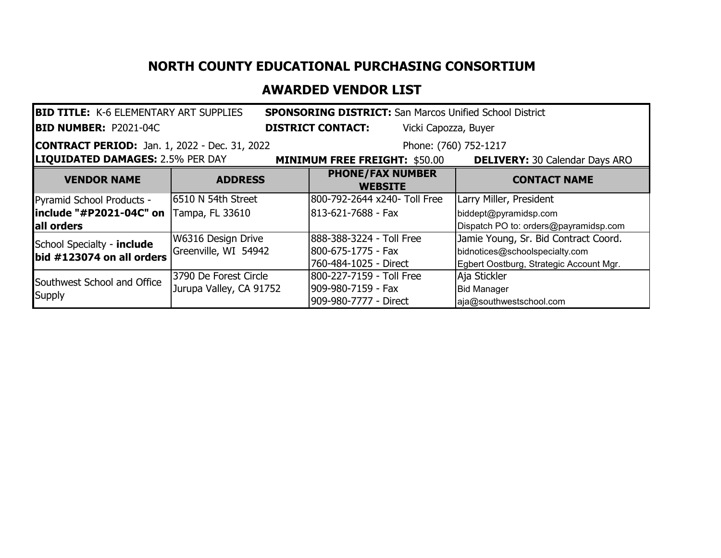## **NORTH COUNTY EDUCATIONAL PURCHASING CONSORTIUM**

## **AWARDED VENDOR LIST**

| <b>BID TITLE: K-6 ELEMENTARY ART SUPPLIES</b><br><b>SPONSORING DISTRICT:</b> San Marcos Unified School District |                         |                                                  |                                         |  |  |  |  |
|-----------------------------------------------------------------------------------------------------------------|-------------------------|--------------------------------------------------|-----------------------------------------|--|--|--|--|
| <b>BID NUMBER: P2021-04C</b>                                                                                    |                         | <b>DISTRICT CONTACT:</b><br>Vicki Capozza, Buyer |                                         |  |  |  |  |
| <b>CONTRACT PERIOD:</b> Jan. 1, 2022 - Dec. 31, 2022                                                            |                         | Phone: (760) 752-1217                            |                                         |  |  |  |  |
| <b>LIQUIDATED DAMAGES: 2.5% PER DAY</b>                                                                         |                         | <b>MINIMUM FREE FREIGHT: \$50.00</b>             | <b>DELIVERY: 30 Calendar Days ARO</b>   |  |  |  |  |
| <b>VENDOR NAME</b>                                                                                              | <b>ADDRESS</b>          | <b>PHONE/FAX NUMBER</b><br><b>WEBSITE</b>        | <b>CONTACT NAME</b>                     |  |  |  |  |
| Pyramid School Products -                                                                                       | 6510 N 54th Street      | 800-792-2644 x240- Toll Free                     | Larry Miller, President                 |  |  |  |  |
| include "#P2021-04C" on                                                                                         | Tampa, FL 33610         | 1813-621-7688 - Fax                              | biddept@pyramidsp.com                   |  |  |  |  |
| lall orders                                                                                                     |                         |                                                  | Dispatch PO to: orders@payramidsp.com   |  |  |  |  |
| School Specialty - include                                                                                      | W6316 Design Drive      | 888-388-3224 - Toll Free                         | Jamie Young, Sr. Bid Contract Coord.    |  |  |  |  |
| bid #123074 on all orders                                                                                       | Greenville, WI 54942    | 800-675-1775 - Fax                               | bidnotices@schoolspecialty.com          |  |  |  |  |
|                                                                                                                 |                         | 760-484-1025 - Direct                            | Egbert Oostburg, Strategic Account Mgr. |  |  |  |  |
| Southwest School and Office                                                                                     | 3790 De Forest Circle   | 800-227-7159 - Toll Free                         | Aja Stickler                            |  |  |  |  |
|                                                                                                                 | Jurupa Valley, CA 91752 | 909-980-7159 - Fax                               | <b>Bid Manager</b>                      |  |  |  |  |
| <b>Supply</b>                                                                                                   |                         | 909-980-7777 - Direct                            | aja@southwestschool.com                 |  |  |  |  |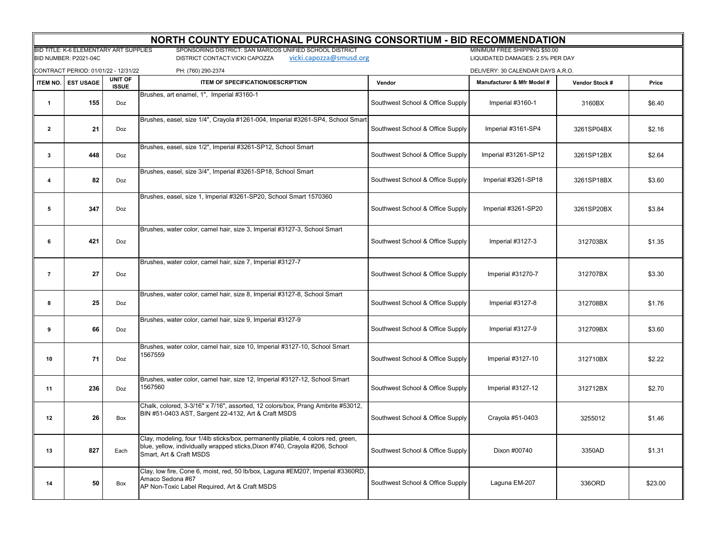|                         | NORTH COUNTY EDUCATIONAL PURCHASING CONSORTIUM - BID RECOMMENDATION |                         |                                                                                                                                                                                            |                                  |                                                                   |                |         |  |
|-------------------------|---------------------------------------------------------------------|-------------------------|--------------------------------------------------------------------------------------------------------------------------------------------------------------------------------------------|----------------------------------|-------------------------------------------------------------------|----------------|---------|--|
|                         | BID TITLE: K-6 ELEMENTARY ART SUPPLIES<br>BID NUMBER: P2021-04C     |                         | SPONSORING DISTRICT: SAN MARCOS UNIFIED SCHOOL DISTRICT<br>vicki.capozza@smusd.org<br>DISTRICT CONTACT:VICKI CAPOZZA                                                                       |                                  | MINIMUM FREE SHIPPING \$50.00<br>LIQUIDATED DAMAGES: 2.5% PER DAY |                |         |  |
|                         | CONTRACT PERIOD: 01/01/22 - 12/31/22                                |                         | PH: (760) 290-2374                                                                                                                                                                         |                                  | DELIVERY: 30 CALENDAR DAYS A.R.O.                                 |                |         |  |
| ITEM NO.                | <b>EST USAGE</b>                                                    | UNIT OF<br><b>ISSUE</b> | <b>ITEM OF SPECIFICATION/DESCRIPTION</b>                                                                                                                                                   | Vendor                           | Manufacturer & Mfr Model #                                        | Vendor Stock # | Price   |  |
| $\mathbf{1}$            | 155                                                                 | Doz                     | Brushes, art enamel, 1", Imperial #3160-1                                                                                                                                                  | Southwest School & Office Supply | Imperial #3160-1                                                  | 3160BX         | \$6.40  |  |
| $\mathbf{2}$            | 21                                                                  | Doz                     | Brushes, easel, size 1/4", Crayola #1261-004, Imperial #3261-SP4, School Smart                                                                                                             | Southwest School & Office Supply | Imperial #3161-SP4                                                | 3261SP04BX     | \$2.16  |  |
| 3                       | 448                                                                 | Doz                     | Brushes, easel, size 1/2", Imperial #3261-SP12, School Smart                                                                                                                               | Southwest School & Office Supply | Imperial #31261-SP12                                              | 3261SP12BX     | \$2.64  |  |
| $\overline{\mathbf{4}}$ | 82                                                                  | Doz                     | Brushes, easel, size 3/4", Imperial #3261-SP18, School Smart                                                                                                                               | Southwest School & Office Supply | Imperial #3261-SP18                                               | 3261SP18BX     | \$3.60  |  |
| 5                       | 347                                                                 | Doz                     | Brushes, easel, size 1, Imperial #3261-SP20, School Smart 1570360                                                                                                                          | Southwest School & Office Supply | Imperial #3261-SP20                                               | 3261SP20BX     | \$3.84  |  |
| 6                       | 421                                                                 | Doz                     | Brushes, water color, camel hair, size 3, Imperial #3127-3, School Smart                                                                                                                   | Southwest School & Office Supply | Imperial #3127-3                                                  | 312703BX       | \$1.35  |  |
| $\overline{7}$          | 27                                                                  | Doz                     | Brushes, water color, camel hair, size 7, Imperial #3127-7                                                                                                                                 | Southwest School & Office Supply | Imperial #31270-7                                                 | 312707BX       | \$3.30  |  |
| 8                       | 25                                                                  | Doz                     | Brushes, water color, camel hair, size 8, Imperial #3127-8, School Smart                                                                                                                   | Southwest School & Office Supply | Imperial #3127-8                                                  | 312708BX       | \$1.76  |  |
| 9                       | 66                                                                  | Doz                     | Brushes, water color, camel hair, size 9, Imperial #3127-9                                                                                                                                 | Southwest School & Office Supply | Imperial #3127-9                                                  | 312709BX       | \$3.60  |  |
| 10                      | 71                                                                  | Doz                     | Brushes, water color, camel hair, size 10, Imperial #3127-10, School Smart<br>1567559                                                                                                      | Southwest School & Office Supply | Imperial #3127-10                                                 | 312710BX       | \$2.22  |  |
| 11                      | 236                                                                 | Doz                     | Brushes, water color, camel hair, size 12, Imperial #3127-12, School Smart<br>1567560                                                                                                      | Southwest School & Office Supply | Imperial #3127-12                                                 | 312712BX       | \$2.70  |  |
| 12                      | 26                                                                  | Box                     | Chalk, colored, 3-3/16" x 7/16", assorted, 12 colors/box, Prang Ambrite #53012,<br>BIN #51-0403 AST, Sargent 22-4132, Art & Craft MSDS                                                     | Southwest School & Office Supply | Crayola #51-0403                                                  | 3255012        | \$1.46  |  |
| 13                      | 827                                                                 | Each                    | Clay, modeling, four 1/4lb sticks/box, permanently pliable, 4 colors red, green,<br>blue, yellow, individually wrapped sticks, Dixon #740, Crayola #206, School<br>Smart. Art & Craft MSDS | Southwest School & Office Supply | Dixon #00740                                                      | 3350AD         | \$1.31  |  |
| 14                      | 50                                                                  | Box                     | Clay, low fire, Cone 6, moist, red, 50 lb/box, Laguna #EM207, Imperial #3360RD,<br>Amaco Sedona #67<br>AP Non-Toxic Label Required, Art & Craft MSDS                                       | Southwest School & Office Supply | Laguna EM-207                                                     | 336ORD         | \$23.00 |  |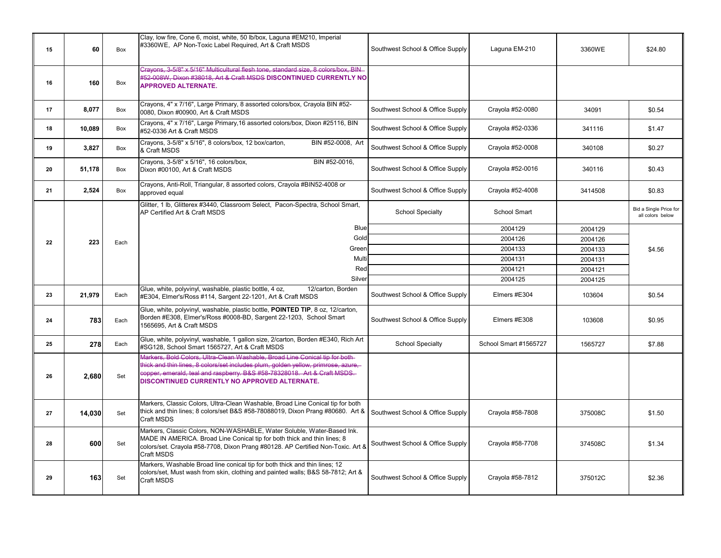| 15 | 60     | Box  | Clay, low fire, Cone 6, moist, white, 50 lb/box, Laguna #EM210, Imperial<br>#3360WE, AP Non-Toxic Label Required, Art & Craft MSDS                                                                                                                                                             | Southwest School & Office Supply | Laguna EM-210         | 3360WE  | \$24.80                                    |
|----|--------|------|------------------------------------------------------------------------------------------------------------------------------------------------------------------------------------------------------------------------------------------------------------------------------------------------|----------------------------------|-----------------------|---------|--------------------------------------------|
| 16 | 160    | Box  | Crayons, 3-5/8" x 5/16" Multicultural flesh tone, standard size, 8 colors/box, BIN-<br>#52-008W, Dixon #38018, Art & Craft MSDS DISCONTINUED CURRENTLY NO<br><b>APPROVED ALTERNATE.</b>                                                                                                        |                                  |                       |         |                                            |
| 17 | 8,077  | Box  | Crayons, 4" x 7/16", Large Primary, 8 assorted colors/box, Crayola BIN #52-<br>0080, Dixon #00900, Art & Craft MSDS                                                                                                                                                                            | Southwest School & Office Supply | Crayola #52-0080      | 34091   | \$0.54                                     |
| 18 | 10,089 | Box  | Crayons, 4" x 7/16", Large Primary, 16 assorted colors/box, Dixon #25116, BIN<br>#52-0336 Art & Craft MSDS                                                                                                                                                                                     | Southwest School & Office Supply | Crayola #52-0336      | 341116  | \$1.47                                     |
| 19 | 3,827  | Box  | BIN #52-0008, Art<br>Crayons, 3-5/8" x 5/16", 8 colors/box, 12 box/carton,<br>& Craft MSDS                                                                                                                                                                                                     | Southwest School & Office Supply | Crayola #52-0008      | 340108  | \$0.27                                     |
| 20 | 51,178 | Box  | Crayons, 3-5/8" x 5/16", 16 colors/box,<br>BIN #52-0016,<br>Dixon #00100, Art & Craft MSDS                                                                                                                                                                                                     | Southwest School & Office Supply | Crayola #52-0016      | 340116  | \$0.43                                     |
| 21 | 2,524  | Box  | Crayons, Anti-Roll, Triangular, 8 assorted colors, Crayola #BIN52-4008 or<br>approved equal                                                                                                                                                                                                    | Southwest School & Office Supply | Crayola #52-4008      | 3414508 | \$0.83                                     |
|    |        |      | Glitter, 1 lb, Glitterex #3440, Classroom Select, Pacon-Spectra, School Smart,<br>AP Certified Art & Craft MSDS                                                                                                                                                                                | <b>School Specialty</b>          | School Smart          |         | Bid a Single Price for<br>all colors below |
|    |        |      | Blue                                                                                                                                                                                                                                                                                           |                                  | 2004129               | 2004129 |                                            |
| 22 | 223    | Each | Gold                                                                                                                                                                                                                                                                                           |                                  | 2004126               | 2004126 |                                            |
|    |        |      | Green                                                                                                                                                                                                                                                                                          |                                  | 2004133               | 2004133 | \$4.56                                     |
|    |        |      | Multi                                                                                                                                                                                                                                                                                          |                                  | 2004131               | 2004131 |                                            |
|    |        |      | Red                                                                                                                                                                                                                                                                                            |                                  | 2004121               | 2004121 |                                            |
|    |        |      | Silver                                                                                                                                                                                                                                                                                         |                                  | 2004125               | 2004125 |                                            |
| 23 | 21,979 | Each | Glue, white, polyvinyl, washable, plastic bottle, 4 oz,<br>12/carton, Borden<br>#E304, Elmer's/Ross #114, Sargent 22-1201, Art & Craft MSDS                                                                                                                                                    | Southwest School & Office Supply | Elmers #E304          | 103604  | \$0.54                                     |
| 24 | 783    | Each | Glue, white, polyvinyl, washable, plastic bottle, POINTED TIP, 8 oz, 12/carton,<br>Borden #E308, Elmer's/Ross #0008-BD, Sargent 22-1203, School Smart<br>1565695, Art & Craft MSDS                                                                                                             | Southwest School & Office Supply | Elmers #E308          | 103608  | \$0.95                                     |
| 25 | 278    | Each | Glue, white, polyvinyl, washable, 1 gallon size, 2/carton, Borden #E340, Rich Art<br>#SG128, School Smart 1565727, Art & Craft MSDS                                                                                                                                                            | <b>School Specialty</b>          | School Smart #1565727 | 1565727 | \$7.88                                     |
| 26 | 2,680  | Set  | Markers, Bold Colors, Ultra-Clean Washable, Broad Line Conical tip for both-<br>thick and thin lines, 8 colors/set includes plum, golden yellow, primrose, azure,<br>copper, emerald, teal and raspberry. B&S #58-78328018. Art & Craft MSDS.<br>DISCONTINUED CURRENTLY NO APPROVED ALTERNATE. |                                  |                       |         |                                            |
| 27 | 14,030 | Set  | Markers, Classic Colors, Ultra-Clean Washable, Broad Line Conical tip for both<br>thick and thin lines; 8 colors/set B&S #58-78088019, Dixon Prang #80680. Art &<br>Craft MSDS                                                                                                                 | Southwest School & Office Supply | Crayola #58-7808      | 375008C | \$1.50                                     |
| 28 | 600    | Set  | Markers, Classic Colors, NON-WASHABLE, Water Soluble, Water-Based Ink.<br>MADE IN AMERICA. Broad Line Conical tip for both thick and thin lines; 8<br>colors/set. Crayola #58-7708, Dixon Prang #80128. AP Certified Non-Toxic. Art &<br>Craft MSDS                                            | Southwest School & Office Supply | Crayola #58-7708      | 374508C | \$1.34                                     |
| 29 | 163    | Set  | Markers, Washable Broad line conical tip for both thick and thin lines; 12<br>colors/set, Must wash from skin, clothing and painted walls; B&S 58-7812; Art &<br>Craft MSDS                                                                                                                    | Southwest School & Office Supply | Crayola #58-7812      | 375012C | \$2.36                                     |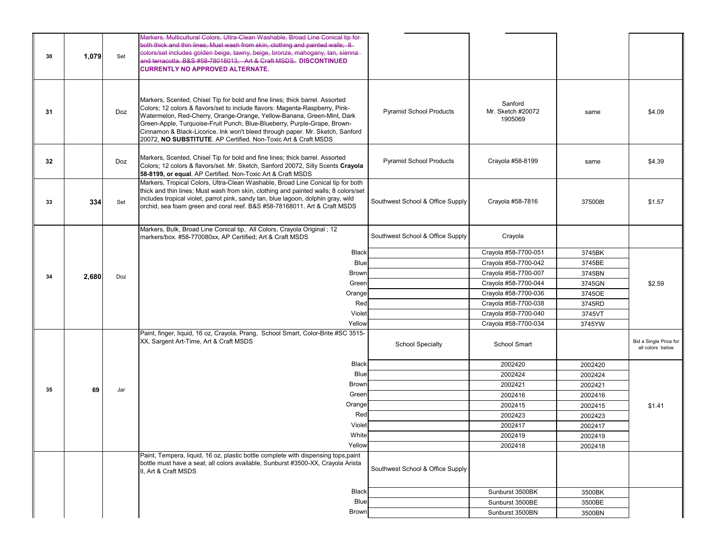| 30 | 1,079 | Set | Markers, Multicultural Colors, Ultra-Clean Washable, Broad Line Conical tip for-<br>both thick and thin lines; Must wash from skin, clothing and painted walls; 8<br>colors/set includes golden beige, tawny, beige, bronze, mahogany, tan, sienna-<br>and terracotta. B&S #58-78018013. Art & Craft MSDS. DISCONTINUED<br><b>CURRENTLY NO APPROVED ALTERNATE.</b>                                                                                                    |                                  |                                         |         |                                            |
|----|-------|-----|-----------------------------------------------------------------------------------------------------------------------------------------------------------------------------------------------------------------------------------------------------------------------------------------------------------------------------------------------------------------------------------------------------------------------------------------------------------------------|----------------------------------|-----------------------------------------|---------|--------------------------------------------|
| 31 |       | Doz | Markers, Scented, Chisel Tip for bold and fine lines; thick barrel. Assorted<br>Colors; 12 colors & flavors/set to include flavors: Magenta-Raspberry, Pink-<br>Watermelon, Red-Cherry, Orange-Orange, Yellow-Banana, Green-Mint, Dark<br>Green-Apple, Turquoise-Fruit Punch, Blue-Blueberry, Purple-Grape, Brown-<br>Cinnamon & Black-Licorice. Ink won't bleed through paper. Mr. Sketch, Sanford<br>20072, NO SUBSTITUTE. AP Certified. Non-Toxic Art & Craft MSDS | <b>Pyramid School Products</b>   | Sanford<br>Mr. Sketch #20072<br>1905069 | same    | \$4.09                                     |
| 32 |       | Doz | Markers, Scented, Chisel Tip for bold and fine lines; thick barrel. Assorted<br>Colors; 12 colors & flavors/set. Mr. Sketch, Sanford 20072, Silly Scents Crayola<br>58-8199, or equal. AP Certified. Non-Toxic Art & Craft MSDS                                                                                                                                                                                                                                       | <b>Pyramid School Products</b>   | Crayola #58-8199                        | same    | \$4.39                                     |
| 33 | 334   | Set | Markers, Tropical Colors, Ultra-Clean Washable, Broad Line Conical tip for both<br>thick and thin lines; Must wash from skin, clothing and painted walls; 8 colors/set<br>includes tropical violet, parrot pink, sandy tan, blue lagoon, dolphin gray, wild<br>orchid, sea foam green and coral reef. B&S #58-78168011. Art & Craft MSDS                                                                                                                              | Southwest School & Office Supply | Crayola #58-7816                        | 375008t | \$1.57                                     |
|    |       |     | Markers, Bulk, Broad Line Conical tip, All Colors, Crayola Original ; 12<br>markers/box. #58-770080xx, AP Certified; Art & Craft MSDS                                                                                                                                                                                                                                                                                                                                 | Southwest School & Office Supply | Crayola                                 |         |                                            |
|    |       |     | Black                                                                                                                                                                                                                                                                                                                                                                                                                                                                 |                                  | Crayola #58-7700-051                    | 3745BK  |                                            |
|    |       |     | <b>Blue</b>                                                                                                                                                                                                                                                                                                                                                                                                                                                           |                                  | Crayola #58-7700-042                    | 3745BE  |                                            |
| 34 | 2,680 | Doz | <b>Brown</b>                                                                                                                                                                                                                                                                                                                                                                                                                                                          |                                  | Crayola #58-7700-007                    | 3745BN  |                                            |
|    |       |     | Green                                                                                                                                                                                                                                                                                                                                                                                                                                                                 |                                  | Crayola #58-7700-044                    | 3745GN  | \$2.59                                     |
|    |       |     | Orange                                                                                                                                                                                                                                                                                                                                                                                                                                                                |                                  | Crayola #58-7700-036                    | 3745OE  |                                            |
|    |       |     | Red                                                                                                                                                                                                                                                                                                                                                                                                                                                                   |                                  | Crayola #58-7700-038                    | 3745RD  |                                            |
|    |       |     | Violet                                                                                                                                                                                                                                                                                                                                                                                                                                                                |                                  | Crayola #58-7700-040                    | 3745VT  |                                            |
|    |       |     | Yellow                                                                                                                                                                                                                                                                                                                                                                                                                                                                |                                  | Crayola #58-7700-034                    | 3745YW  |                                            |
|    |       |     | Paint, finger, liquid, 16 oz, Crayola, Prang, School Smart, Color-Brite #SC 3515-<br>XX, Sargent Art-Time, Art & Craft MSDS                                                                                                                                                                                                                                                                                                                                           | <b>School Specialty</b>          | School Smart                            |         | Bid a Single Price for<br>all colors below |
|    |       |     | Black                                                                                                                                                                                                                                                                                                                                                                                                                                                                 |                                  | 2002420                                 | 2002420 |                                            |
|    |       |     | Blue                                                                                                                                                                                                                                                                                                                                                                                                                                                                  |                                  | 2002424                                 | 2002424 |                                            |
| 35 | 69    | Jar | <b>Brown</b>                                                                                                                                                                                                                                                                                                                                                                                                                                                          |                                  | 2002421                                 | 2002421 |                                            |
|    |       |     | Green                                                                                                                                                                                                                                                                                                                                                                                                                                                                 |                                  | 2002416                                 | 2002416 |                                            |
|    |       |     | Orange                                                                                                                                                                                                                                                                                                                                                                                                                                                                |                                  | 2002415                                 | 2002415 | \$1.41                                     |
|    |       |     | Red                                                                                                                                                                                                                                                                                                                                                                                                                                                                   |                                  | 2002423                                 | 2002423 |                                            |
|    |       |     | Violet                                                                                                                                                                                                                                                                                                                                                                                                                                                                |                                  | 2002417                                 | 2002417 |                                            |
|    |       |     | White                                                                                                                                                                                                                                                                                                                                                                                                                                                                 |                                  | 2002419                                 | 2002419 |                                            |
|    |       |     | Yellow                                                                                                                                                                                                                                                                                                                                                                                                                                                                |                                  | 2002418                                 | 2002418 |                                            |
|    |       |     | Paint, Tempera, liquid, 16 oz, plastic bottle complete with dispensing tops,paint<br>bottle must have a seal; all colors available, Sunburst #3500-XX, Crayola Arista<br>II, Art & Craft MSDS                                                                                                                                                                                                                                                                         | Southwest School & Office Supply |                                         |         |                                            |
|    |       |     | Black                                                                                                                                                                                                                                                                                                                                                                                                                                                                 |                                  | Sunburst 3500BK                         | 3500BK  |                                            |
|    |       |     | <b>Blue</b>                                                                                                                                                                                                                                                                                                                                                                                                                                                           |                                  | Sunburst 3500BE                         | 3500BE  |                                            |
|    |       |     | <b>Brown</b>                                                                                                                                                                                                                                                                                                                                                                                                                                                          |                                  | Sunburst 3500BN                         | 3500BN  |                                            |
|    |       |     |                                                                                                                                                                                                                                                                                                                                                                                                                                                                       |                                  |                                         |         |                                            |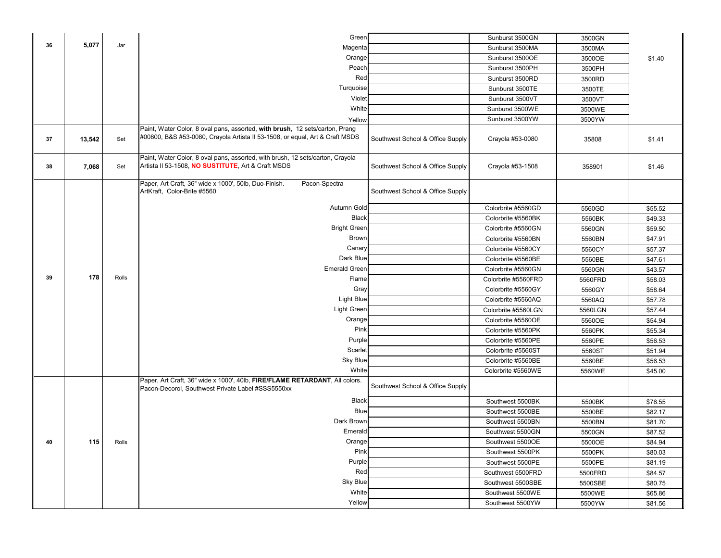|    |        |       | Green                                                                                                                                                        |                                  | Sunburst 3500GN     | 3500GN  |         |
|----|--------|-------|--------------------------------------------------------------------------------------------------------------------------------------------------------------|----------------------------------|---------------------|---------|---------|
| 36 | 5,077  | Jar   | Magenta                                                                                                                                                      |                                  | Sunburst 3500MA     | 3500MA  |         |
|    |        |       | Orange                                                                                                                                                       |                                  | Sunburst 3500OE     | 3500OE  | \$1.40  |
|    |        |       | Peach                                                                                                                                                        |                                  | Sunburst 3500PH     | 3500PH  |         |
|    |        |       | Red                                                                                                                                                          |                                  | Sunburst 3500RD     | 3500RD  |         |
|    |        |       | Turquoise                                                                                                                                                    |                                  | Sunburst 3500TE     | 3500TE  |         |
|    |        |       | Violet                                                                                                                                                       |                                  | Sunburst 3500VT     | 3500VT  |         |
|    |        |       | White                                                                                                                                                        |                                  | Sunburst 3500WE     | 3500WE  |         |
|    |        |       | Yellow                                                                                                                                                       |                                  | Sunburst 3500YW     | 3500YW  |         |
| 37 | 13,542 | Set   | Paint, Water Color, 8 oval pans, assorted, with brush, 12 sets/carton, Prang<br>#00800, B&S #53-0080, Crayola Artista II 53-1508, or equal, Art & Craft MSDS | Southwest School & Office Supply | Crayola #53-0080    | 35808   | \$1.41  |
| 38 | 7,068  | Set   | Paint, Water Color, 8 oval pans, assorted, with brush, 12 sets/carton, Crayola<br>Artista II 53-1508, NO SUSTITUTE, Art & Craft MSDS                         | Southwest School & Office Supply | Crayola #53-1508    | 358901  | \$1.46  |
|    |        |       | Paper, Art Craft, 36" wide x 1000', 50lb, Duo-Finish.<br>Pacon-Spectra<br>ArtKraft, Color-Brite #5560                                                        | Southwest School & Office Supply |                     |         |         |
|    |        |       | Autumn Gold                                                                                                                                                  |                                  | Colorbrite #5560GD  | 5560GD  | \$55.52 |
|    |        |       | <b>Black</b>                                                                                                                                                 |                                  | Colorbrite #5560BK  | 5560BK  | \$49.33 |
|    |        |       | <b>Bright Green</b>                                                                                                                                          |                                  | Colorbrite #5560GN  | 5560GN  | \$59.50 |
|    |        |       | <b>Brown</b>                                                                                                                                                 |                                  | Colorbrite #5560BN  | 5560BN  | \$47.91 |
|    |        |       | Canary                                                                                                                                                       |                                  | Colorbrite #5560CY  | 5560CY  | \$57.37 |
|    |        |       | Dark Blue                                                                                                                                                    |                                  | Colorbrite #5560BE  | 5560BE  | \$47.61 |
|    |        |       | <b>Emerald Green</b>                                                                                                                                         |                                  | Colorbrite #5560GN  | 5560GN  | \$43.57 |
| 39 | 178    | Rolls | Flame                                                                                                                                                        |                                  | Colorbrite #5560FRD | 5560FRD | \$58.03 |
|    |        |       | Gray                                                                                                                                                         |                                  | Colorbrite #5560GY  | 5560GY  | \$58.64 |
|    |        |       | Light Blue                                                                                                                                                   |                                  | Colorbrite #5560AQ  | 5560AQ  | \$57.78 |
|    |        |       | <b>Light Green</b>                                                                                                                                           |                                  | Colorbrite #5560LGN | 5560LGN | \$57.44 |
|    |        |       | Orange                                                                                                                                                       |                                  | Colorbrite #5560OE  | 5560OE  | \$54.94 |
|    |        |       | Pink                                                                                                                                                         |                                  | Colorbrite #5560PK  | 5560PK  | \$55.34 |
|    |        |       | Purple                                                                                                                                                       |                                  | Colorbrite #5560PE  | 5560PE  | \$56.53 |
|    |        |       | Scarlet                                                                                                                                                      |                                  | Colorbrite #5560ST  | 5560ST  | \$51.94 |
|    |        |       | Sky Blue<br>White                                                                                                                                            |                                  | Colorbrite #5560BE  | 5560BE  | \$56.53 |
|    |        |       | Paper, Art Craft, 36" wide x 1000', 40lb, FIRE/FLAME RETARDANT, All colors.<br>Pacon-Decorol, Southwest Private Label #SSS5550xx                             | Southwest School & Office Supply | Colorbrite #5560WE  | 5560WE  | \$45.00 |
|    |        |       | <b>Black</b>                                                                                                                                                 |                                  | Southwest 5500BK    | 5500BK  | \$76.55 |
|    |        |       | <b>Blue</b>                                                                                                                                                  |                                  | Southwest 5500BE    | 5500BE  | \$82.17 |
|    |        |       | Dark Brown                                                                                                                                                   |                                  | Southwest 5500BN    | 5500BN  | \$81.70 |
|    |        |       | Emerald                                                                                                                                                      |                                  | Southwest 5500GN    | 5500GN  | \$87.52 |
| 40 | 115    | Rolls | Orange                                                                                                                                                       |                                  | Southwest 5500OE    | 5500OE  | \$84.94 |
|    |        |       | Pink                                                                                                                                                         |                                  | Southwest 5500PK    | 5500PK  | \$80.03 |
|    |        |       | Purple                                                                                                                                                       |                                  | Southwest 5500PE    | 5500PE  | \$81.19 |
|    |        |       | Red                                                                                                                                                          |                                  | Southwest 5500FRD   | 5500FRD | \$84.57 |
|    |        |       | <b>Sky Blue</b>                                                                                                                                              |                                  | Southwest 5500SBE   | 5500SBE | \$80.75 |
|    |        |       | White                                                                                                                                                        |                                  | Southwest 5500WE    | 5500WE  | \$65.86 |
|    |        |       | Yellow                                                                                                                                                       |                                  | Southwest 5500YW    | 5500YW  | \$81.56 |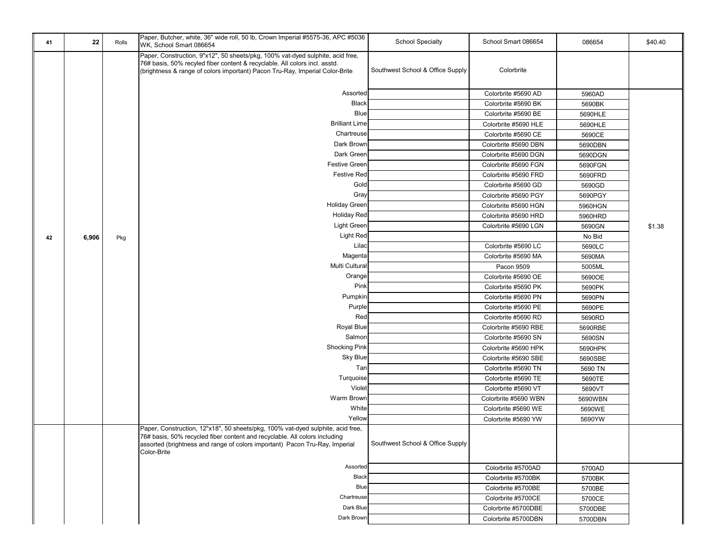| 41 | 22    | Rolls | Paper, Butcher, white, 36" wide roll, 50 lb, Crown Imperial #5575-36, APC #5036<br>WK, School Smart 086654                                                                                                                                   | <b>School Specialty</b>          | School Smart 086654  | 086654  | \$40.40 |
|----|-------|-------|----------------------------------------------------------------------------------------------------------------------------------------------------------------------------------------------------------------------------------------------|----------------------------------|----------------------|---------|---------|
|    |       |       | Paper, Construction, 9"x12", 50 sheets/pkg, 100% vat-dyed sulphite, acid free,<br>76# basis, 50% recyled fiber content & recyclable. All colors incl. asstd.<br>(brightness & range of colors important) Pacon Tru-Ray, Imperial Color-Brite | Southwest School & Office Supply | Colorbrite           |         |         |
|    |       |       | Assorted                                                                                                                                                                                                                                     |                                  | Colorbrite #5690 AD  | 5960AD  |         |
|    |       |       | <b>Black</b>                                                                                                                                                                                                                                 |                                  | Colorbrite #5690 BK  | 5690BK  |         |
|    |       |       | <b>Blue</b>                                                                                                                                                                                                                                  |                                  | Colorbrite #5690 BE  | 5690HLE |         |
|    |       |       | <b>Brilliant Lime</b>                                                                                                                                                                                                                        |                                  | Colorbrite #5690 HLE | 5690HLE |         |
|    |       |       | Chartreuse                                                                                                                                                                                                                                   |                                  | Colorbrite #5690 CE  | 5690CE  |         |
|    |       |       | Dark Brown                                                                                                                                                                                                                                   |                                  | Colorbrite #5690 DBN | 5690DBN |         |
|    |       |       | Dark Green                                                                                                                                                                                                                                   |                                  | Colorbrite #5690 DGN | 5690DGN |         |
|    |       |       | <b>Festive Green</b>                                                                                                                                                                                                                         |                                  | Colorbrite #5690 FGN | 5690FGN |         |
|    |       |       | <b>Festive Red</b>                                                                                                                                                                                                                           |                                  | Colorbrite #5690 FRD | 5690FRD |         |
|    |       |       | Gold                                                                                                                                                                                                                                         |                                  | Colorbrite #5690 GD  | 5690GD  |         |
|    |       |       | Gray                                                                                                                                                                                                                                         |                                  | Colorbrite #5690 PGY | 5690PGY |         |
|    |       |       | <b>Holiday Green</b>                                                                                                                                                                                                                         |                                  | Colorbrite #5690 HGN | 5960HGN |         |
|    |       |       | <b>Holiday Red</b>                                                                                                                                                                                                                           |                                  | Colorbrite #5690 HRD | 5960HRD |         |
|    |       |       | <b>Light Green</b>                                                                                                                                                                                                                           |                                  | Colorbrite #5690 LGN | 5690GN  | \$1.38  |
| 42 | 6,906 | Pkg   | <b>Light Red</b>                                                                                                                                                                                                                             |                                  |                      | No Bid  |         |
|    |       |       | Lilac                                                                                                                                                                                                                                        |                                  | Colorbrite #5690 LC  | 5690LC  |         |
|    |       |       | Magenta                                                                                                                                                                                                                                      |                                  | Colorbrite #5690 MA  | 5690MA  |         |
|    |       |       | Multi Cultural                                                                                                                                                                                                                               |                                  | Pacon 9509           | 5005ML  |         |
|    |       |       | Orange                                                                                                                                                                                                                                       |                                  | Colorbrite #5690 OE  | 5690OE  |         |
|    |       |       | Pink                                                                                                                                                                                                                                         |                                  | Colorbrite #5690 PK  | 5690PK  |         |
|    |       |       | Pumpkin                                                                                                                                                                                                                                      |                                  | Colorbrite #5690 PN  | 5690PN  |         |
|    |       |       | Purple                                                                                                                                                                                                                                       |                                  | Colorbrite #5690 PE  | 5690PE  |         |
|    |       |       | Red                                                                                                                                                                                                                                          |                                  | Colorbrite #5690 RD  | 5690RD  |         |
|    |       |       | Royal Blue                                                                                                                                                                                                                                   |                                  | Colorbrite #5690 RBE | 5690RBE |         |
|    |       |       | Salmon                                                                                                                                                                                                                                       |                                  | Colorbrite #5690 SN  | 5690SN  |         |
|    |       |       | <b>Shocking Pink</b>                                                                                                                                                                                                                         |                                  | Colorbrite #5690 HPK | 5690HPK |         |
|    |       |       | Sky Blue                                                                                                                                                                                                                                     |                                  | Colorbrite #5690 SBE | 5690SBE |         |
|    |       |       | Tan                                                                                                                                                                                                                                          |                                  | Colorbrite #5690 TN  | 5690 TN |         |
|    |       |       | Turquoise                                                                                                                                                                                                                                    |                                  | Colorbrite #5690 TE  | 5690TE  |         |
|    |       |       | Violet                                                                                                                                                                                                                                       |                                  | Colorbrite #5690 VT  | 5690VT  |         |
|    |       |       | Warm Brown                                                                                                                                                                                                                                   |                                  | Colorbrite #5690 WBN | 5690WBN |         |
|    |       |       | White                                                                                                                                                                                                                                        |                                  | Colorbrite #5690 WE  | 5690WE  |         |
|    |       |       | Yellow                                                                                                                                                                                                                                       |                                  | Colorbrite #5690 YW  | 5690YW  |         |
|    |       |       | Paper, Construction, 12"x18", 50 sheets/pkg, 100% vat-dyed sulphite, acid free,                                                                                                                                                              |                                  |                      |         |         |
|    |       |       | 76# basis, 50% recycled fiber content and recyclable. All colors including<br>assorted (brightness and range of colors important) Pacon Tru-Ray, Imperial                                                                                    | Southwest School & Office Supply |                      |         |         |
|    |       |       | Color-Brite                                                                                                                                                                                                                                  |                                  |                      |         |         |
|    |       |       | Assorted                                                                                                                                                                                                                                     |                                  | Colorbrite #5700AD   | 5700AD  |         |
|    |       |       | Black                                                                                                                                                                                                                                        |                                  | Colorbrite #5700BK   | 5700BK  |         |
|    |       |       | <b>Blue</b>                                                                                                                                                                                                                                  |                                  | Colorbrite #5700BE   | 5700BE  |         |
|    |       |       | Chartreuse                                                                                                                                                                                                                                   |                                  | Colorbrite #5700CE   | 5700CE  |         |
|    |       |       | Dark Blue                                                                                                                                                                                                                                    |                                  | Colorbrite #5700DBE  | 5700DBE |         |
|    |       |       | Dark Brown                                                                                                                                                                                                                                   |                                  | Colorbrite #5700DBN  | 5700DBN |         |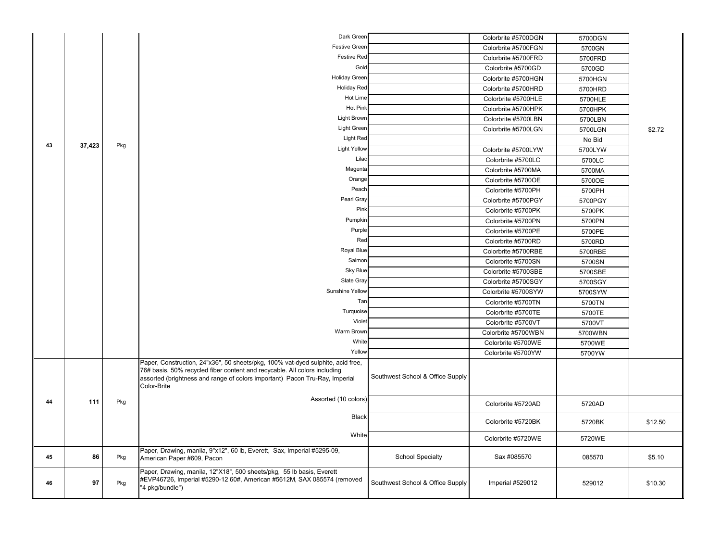|    |        |     | Dark Green                                                                                                                                                                                                                                                 |                                  | Colorbrite #5700DGN | 5700DGN |         |
|----|--------|-----|------------------------------------------------------------------------------------------------------------------------------------------------------------------------------------------------------------------------------------------------------------|----------------------------------|---------------------|---------|---------|
|    |        |     | <b>Festive Greer</b>                                                                                                                                                                                                                                       |                                  | Colorbrite #5700FGN | 5700GN  |         |
|    |        |     | <b>Festive Red</b>                                                                                                                                                                                                                                         |                                  | Colorbrite #5700FRD | 5700FRD |         |
|    |        |     | Gold                                                                                                                                                                                                                                                       |                                  | Colorbrite #5700GD  | 5700GD  |         |
|    |        |     | <b>Holiday Greer</b>                                                                                                                                                                                                                                       |                                  | Colorbrite #5700HGN | 5700HGN |         |
|    |        |     | <b>Holiday Red</b>                                                                                                                                                                                                                                         |                                  | Colorbrite #5700HRD | 5700HRD |         |
|    |        |     | Hot Lime                                                                                                                                                                                                                                                   |                                  | Colorbrite #5700HLE | 5700HLE |         |
|    |        |     | <b>Hot Pink</b>                                                                                                                                                                                                                                            |                                  | Colorbrite #5700HPK | 5700HPK |         |
|    |        |     | <b>Light Brown</b>                                                                                                                                                                                                                                         |                                  | Colorbrite #5700LBN | 5700LBN |         |
|    |        |     | Light Green                                                                                                                                                                                                                                                |                                  | Colorbrite #5700LGN | 5700LGN | \$2.72  |
|    |        |     | <b>Light Red</b>                                                                                                                                                                                                                                           |                                  |                     | No Bid  |         |
| 43 | 37,423 | Pkg | <b>Light Yellow</b>                                                                                                                                                                                                                                        |                                  | Colorbrite #5700LYW | 5700LYW |         |
|    |        |     | Lilad                                                                                                                                                                                                                                                      |                                  | Colorbrite #5700LC  | 5700LC  |         |
|    |        |     | Magenta                                                                                                                                                                                                                                                    |                                  | Colorbrite #5700MA  | 5700MA  |         |
|    |        |     | Orange                                                                                                                                                                                                                                                     |                                  | Colorbrite #5700OE  | 5700OE  |         |
|    |        |     | Peach                                                                                                                                                                                                                                                      |                                  | Colorbrite #5700PH  | 5700PH  |         |
|    |        |     | Pearl Gray                                                                                                                                                                                                                                                 |                                  | Colorbrite #5700PGY | 5700PGY |         |
|    |        |     | Pink                                                                                                                                                                                                                                                       |                                  | Colorbrite #5700PK  | 5700PK  |         |
|    |        |     | Pumpkin                                                                                                                                                                                                                                                    |                                  | Colorbrite #5700PN  | 5700PN  |         |
|    |        |     | Purple                                                                                                                                                                                                                                                     |                                  | Colorbrite #5700PE  | 5700PE  |         |
|    |        |     | Rec                                                                                                                                                                                                                                                        |                                  | Colorbrite #5700RD  | 5700RD  |         |
|    |        |     | Royal Blue                                                                                                                                                                                                                                                 |                                  | Colorbrite #5700RBE | 5700RBE |         |
|    |        |     | Salmon                                                                                                                                                                                                                                                     |                                  | Colorbrite #5700SN  | 5700SN  |         |
|    |        |     | Sky Blue                                                                                                                                                                                                                                                   |                                  | Colorbrite #5700SBE | 5700SBE |         |
|    |        |     | Slate Gray                                                                                                                                                                                                                                                 |                                  | Colorbrite #5700SGY | 5700SGY |         |
|    |        |     | <b>Sunshine Yellow</b>                                                                                                                                                                                                                                     |                                  | Colorbrite #5700SYW | 5700SYW |         |
|    |        |     | Tar                                                                                                                                                                                                                                                        |                                  | Colorbrite #5700TN  | 5700TN  |         |
|    |        |     | Turquoise                                                                                                                                                                                                                                                  |                                  | Colorbrite #5700TE  | 5700TE  |         |
|    |        |     | Violet                                                                                                                                                                                                                                                     |                                  | Colorbrite #5700VT  | 5700VT  |         |
|    |        |     | Warm Browr                                                                                                                                                                                                                                                 |                                  | Colorbrite #5700WBN | 5700WBN |         |
|    |        |     | White                                                                                                                                                                                                                                                      |                                  | Colorbrite #5700WE  | 5700WE  |         |
|    |        |     | Yellow                                                                                                                                                                                                                                                     |                                  | Colorbrite #5700YW  | 5700YW  |         |
|    |        |     | Paper, Construction, 24"x36", 50 sheets/pkg, 100% vat-dyed sulphite, acid free,<br>76# basis, 50% recycled fiber content and recycable. All colors including<br>assorted (brightness and range of colors important) Pacon Tru-Ray, Imperial<br>Color-Brite | Southwest School & Office Supply |                     |         |         |
| 44 | 111    | Pkg | Assorted (10 colors)                                                                                                                                                                                                                                       |                                  | Colorbrite #5720AD  | 5720AD  |         |
|    |        |     | <b>Black</b>                                                                                                                                                                                                                                               |                                  | Colorbrite #5720BK  | 5720BK  | \$12.50 |
|    |        |     | White                                                                                                                                                                                                                                                      |                                  | Colorbrite #5720WE  | 5720WE  |         |
| 45 | 86     | Pkg | Paper, Drawing, manila, 9"x12", 60 lb, Everett, Sax, Imperial #5295-09,<br>American Paper #609, Pacon                                                                                                                                                      | <b>School Specialty</b>          | Sax #085570         | 085570  | \$5.10  |
| 46 | 97     | Pkg | Paper, Drawing, manila, 12"X18", 500 sheets/pkg, 55 lb basis, Everett<br>#EVP46726, Imperial #5290-12 60#, American #5612M, SAX 085574 (removed<br>"4 pkg/bundle")                                                                                         | Southwest School & Office Supply | Imperial #529012    | 529012  | \$10.30 |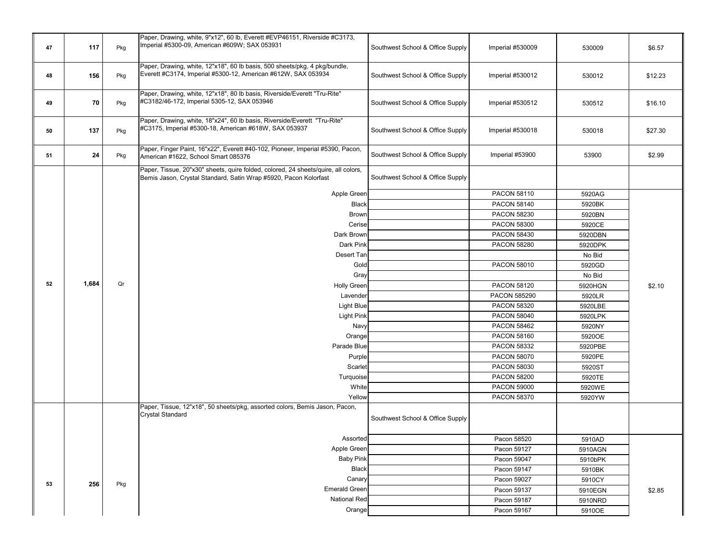|    |       |     | Paper, Drawing, white, 9"x12", 60 lb, Everett #EVP46151, Riverside #C3173,                                                                             |                                  |                                    |                   |         |
|----|-------|-----|--------------------------------------------------------------------------------------------------------------------------------------------------------|----------------------------------|------------------------------------|-------------------|---------|
| 47 | 117   | Pkg | Imperial #5300-09, American #609W; SAX 053931                                                                                                          | Southwest School & Office Supply | Imperial #530009                   | 530009            | \$6.57  |
| 48 | 156   | Pkg | Paper, Drawing, white, 12"x18", 60 lb basis, 500 sheets/pkg, 4 pkg/bundle,<br>Everett #C3174, Imperial #5300-12, American #612W, SAX 053934            | Southwest School & Office Supply | Imperial #530012                   | 530012            | \$12.23 |
| 49 | 70    | Pkg | Paper, Drawing, white, 12"x18", 80 lb basis, Riverside/Everett "Tru-Rite"<br>#C3182/46-172, Imperial 5305-12, SAX 053946                               | Southwest School & Office Supply | Imperial #530512                   | 530512            | \$16.10 |
| 50 | 137   | Pkg | Paper, Drawing, white, 18"x24", 60 lb basis, Riverside/Everett "Tru-Rite"<br>#C3175, Imperial #5300-18, American #618W, SAX 053937                     | Southwest School & Office Supply | Imperial #530018                   | 530018            | \$27.30 |
| 51 | 24    | Pkg | Paper, Finger Paint, 16"x22", Everett #40-102, Pioneer, Imperial #5390, Pacon,<br>American #1622, School Smart 085376                                  | Southwest School & Office Supply | Imperial #53900                    | 53900             | \$2.99  |
|    |       |     | Paper, Tissue, 20"x30" sheets, quire folded, colored, 24 sheets/quire, all colors,<br>Bemis Jason, Crystal Standard, Satin Wrap #5920, Pacon Kolorfast | Southwest School & Office Supply |                                    |                   |         |
|    |       |     | Apple Green                                                                                                                                            |                                  | PACON 58110                        | 5920AG            |         |
|    |       |     | <b>Black</b>                                                                                                                                           |                                  | PACON 58140                        | 5920BK            |         |
|    |       |     | <b>Brown</b>                                                                                                                                           |                                  | <b>PACON 58230</b>                 | 5920BN            |         |
|    |       |     | Cerise                                                                                                                                                 |                                  | <b>PACON 58300</b>                 | 5920CE            |         |
|    |       |     | Dark Brown                                                                                                                                             |                                  | <b>PACON 58430</b>                 | 5920DBN           |         |
|    |       |     | Dark Pink                                                                                                                                              |                                  | <b>PACON 58280</b>                 | 5920DPK           |         |
|    |       |     | Desert Tan                                                                                                                                             |                                  |                                    | No Bid            |         |
|    |       |     | Gold                                                                                                                                                   |                                  | <b>PACON 58010</b>                 | 5920GD            |         |
| 52 | 1,684 | Qr  | Gray                                                                                                                                                   |                                  |                                    | No Bid            |         |
|    |       |     | <b>Holly Green</b>                                                                                                                                     |                                  | <b>PACON 58120</b>                 | 5920HGN           | \$2.10  |
|    |       |     | Lavender<br>Light Blue                                                                                                                                 |                                  | PACON 585290<br><b>PACON 58320</b> | 5920LR<br>5920LBE |         |
|    |       |     | <b>Light Pink</b>                                                                                                                                      |                                  | <b>PACON 58040</b>                 | 5920LPK           |         |
|    |       |     | Navy                                                                                                                                                   |                                  | <b>PACON 58462</b>                 | 5920NY            |         |
|    |       |     | Orange                                                                                                                                                 |                                  | PACON 58160                        | 5920OE            |         |
|    |       |     | Parade Blue                                                                                                                                            |                                  | <b>PACON 58332</b>                 | 5920PBE           |         |
|    |       |     | Purple                                                                                                                                                 |                                  | <b>PACON 58070</b>                 | 5920PE            |         |
|    |       |     | Scarlet                                                                                                                                                |                                  | PACON 58030                        | 5920ST            |         |
|    |       |     | Turquoise                                                                                                                                              |                                  | <b>PACON 58200</b>                 | 5920TE            |         |
|    |       |     | White                                                                                                                                                  |                                  | <b>PACON 59000</b>                 | 5920WE            |         |
|    |       |     | Yellow                                                                                                                                                 |                                  | <b>PACON 58370</b>                 | 5920YW            |         |
|    |       |     | Paper, Tissue, 12"x18", 50 sheets/pkg, assorted colors, Bemis Jason, Pacon,<br>Crystal Standard                                                        | Southwest School & Office Supply |                                    |                   |         |
|    |       |     | Assorted                                                                                                                                               |                                  | Pacon 58520                        | 5910AD            |         |
|    |       |     | Apple Green                                                                                                                                            |                                  | Pacon 59127                        | 5910AGN           |         |
|    |       |     | <b>Baby Pink</b>                                                                                                                                       |                                  | Pacon 59047                        | 5910bPK           |         |
|    |       |     | Black                                                                                                                                                  |                                  | Pacon 59147                        | 5910BK            |         |
| 53 | 256   |     | Canary                                                                                                                                                 |                                  | Pacon 59027                        | 5910CY            |         |
|    |       | Pkg | <b>Emerald Green</b>                                                                                                                                   |                                  | Pacon 59137                        | 5910EGN           | \$2.85  |
|    |       |     | National Red                                                                                                                                           |                                  | Pacon 59187                        | 5910NRD           |         |
|    |       |     | Orange                                                                                                                                                 |                                  | Pacon 59167                        | 5910OE            |         |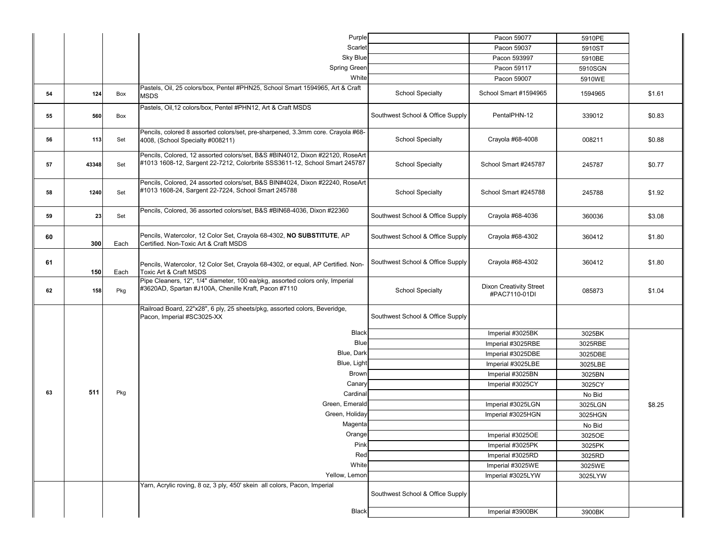|    |       |      | Purple                                                                                                                                                      |                                  | Pacon 59077                                     | 5910PE           |        |
|----|-------|------|-------------------------------------------------------------------------------------------------------------------------------------------------------------|----------------------------------|-------------------------------------------------|------------------|--------|
|    |       |      | Scarlet                                                                                                                                                     |                                  | Pacon 59037                                     | 5910ST           |        |
|    |       |      | <b>Sky Blue</b>                                                                                                                                             |                                  | Pacon 593997                                    | 5910BE           |        |
|    |       |      | <b>Spring Green</b>                                                                                                                                         |                                  | Pacon 59117                                     | 5910SGN          |        |
|    |       |      | White                                                                                                                                                       |                                  | Pacon 59007                                     | 5910WE           |        |
| 54 | 124   | Box  | Pastels, Oil, 25 colors/box, Pentel #PHN25, School Smart 1594965, Art & Craft<br><b>MSDS</b>                                                                | <b>School Specialty</b>          | School Smart #1594965                           | 1594965          | \$1.61 |
| 55 | 560   | Box  | Pastels, Oil, 12 colors/box, Pentel #PHN12, Art & Craft MSDS                                                                                                | Southwest School & Office Supply | PentalPHN-12                                    | 339012           | \$0.83 |
| 56 | 113   | Set  | Pencils, colored 8 assorted colors/set, pre-sharpened, 3.3mm core. Crayola #68-<br>4008, (School Specialty #008211)                                         | <b>School Specialty</b>          | Crayola #68-4008                                | 008211           | \$0.88 |
| 57 | 43348 | Set  | Pencils, Colored, 12 assorted colors/set, B&S #BIN4012, Dixon #22120, RoseArt<br>#1013 1608-12, Sargent 22-7212, Colorbrite SSS3611-12, School Smart 245787 | <b>School Specialty</b>          | School Smart #245787                            | 245787           | \$0.77 |
| 58 | 1240  | Set  | Pencils, Colored, 24 assorted colors/set, B&S BIN#4024, Dixon #22240, RoseArt<br>#1013 1608-24, Sargent 22-7224, School Smart 245788                        | <b>School Specialty</b>          | School Smart #245788                            | 245788           | \$1.92 |
| 59 | 23    | Set  | Pencils, Colored, 36 assorted colors/set, B&S #BIN68-4036, Dixon #22360                                                                                     | Southwest School & Office Supply | Crayola #68-4036                                | 360036           | \$3.08 |
| 60 | 300   | Each | Pencils, Watercolor, 12 Color Set, Crayola 68-4302, NO SUBSTITUTE, AP<br>Certified. Non-Toxic Art & Craft MSDS                                              | Southwest School & Office Supply | Crayola #68-4302                                | 360412           | \$1.80 |
| 61 | 150   | Each | Pencils, Watercolor, 12 Color Set, Crayola 68-4302, or equal, AP Certified. Non-<br>Toxic Art & Craft MSDS                                                  | Southwest School & Office Supply | Crayola #68-4302                                | 360412           | \$1.80 |
| 62 | 158   | Pkg  | Pipe Cleaners, 12", 1/4" diameter, 100 ea/pkg, assorted colors only, Imperial<br>#3620AD, Spartan #J100A, Chenille Kraft, Pacon #7110                       | <b>School Specialty</b>          | <b>Dixon Creativity Street</b><br>#PAC7110-01DI | 085873           | \$1.04 |
|    |       |      | Railroad Board, 22"x28", 6 ply, 25 sheets/pkg, assorted colors, Beveridge,<br>Pacon, Imperial #SC3025-XX                                                    | Southwest School & Office Supply |                                                 |                  |        |
|    |       |      | Black                                                                                                                                                       |                                  | Imperial #3025BK                                | 3025BK           |        |
|    |       |      | Blue                                                                                                                                                        |                                  | Imperial #3025RBE                               | 3025RBE          |        |
|    |       |      | Blue, Dark                                                                                                                                                  |                                  | Imperial #3025DBE                               | 3025DBE          |        |
|    |       |      | Blue, Light                                                                                                                                                 |                                  | Imperial #3025LBE                               | 3025LBE          |        |
|    |       |      | <b>Brown</b>                                                                                                                                                |                                  | Imperial #3025BN                                | 3025BN           |        |
|    |       |      | Canary                                                                                                                                                      |                                  | Imperial #3025CY                                | 3025CY           |        |
| 63 | 511   | Pkg  | Cardinal                                                                                                                                                    |                                  |                                                 | No Bid           |        |
|    |       |      | Green, Emerald                                                                                                                                              |                                  | Imperial #3025LGN                               | 3025LGN          | \$8.25 |
|    |       |      | Green, Holiday                                                                                                                                              |                                  | Imperial #3025HGN                               | 3025HGN          |        |
|    |       |      | Magenta                                                                                                                                                     |                                  |                                                 | No Bid           |        |
|    |       |      | Orange<br>Pink                                                                                                                                              |                                  | Imperial #3025OE                                | 3025OE           |        |
|    |       |      | Red                                                                                                                                                         |                                  | Imperial #3025PK<br>Imperial #3025RD            | 3025PK           |        |
|    |       |      | White                                                                                                                                                       |                                  | Imperial #3025WE                                | 3025RD<br>3025WE |        |
|    |       |      | Yellow, Lemon                                                                                                                                               |                                  | Imperial #3025LYW                               | 3025LYW          |        |
|    |       |      | Yarn, Acrylic roving, 8 oz, 3 ply, 450' skein all colors, Pacon, Imperial                                                                                   |                                  |                                                 |                  |        |
|    |       |      |                                                                                                                                                             | Southwest School & Office Supply |                                                 |                  |        |
|    |       |      | Black                                                                                                                                                       |                                  | Imperial #3900BK                                | 3900BK           |        |